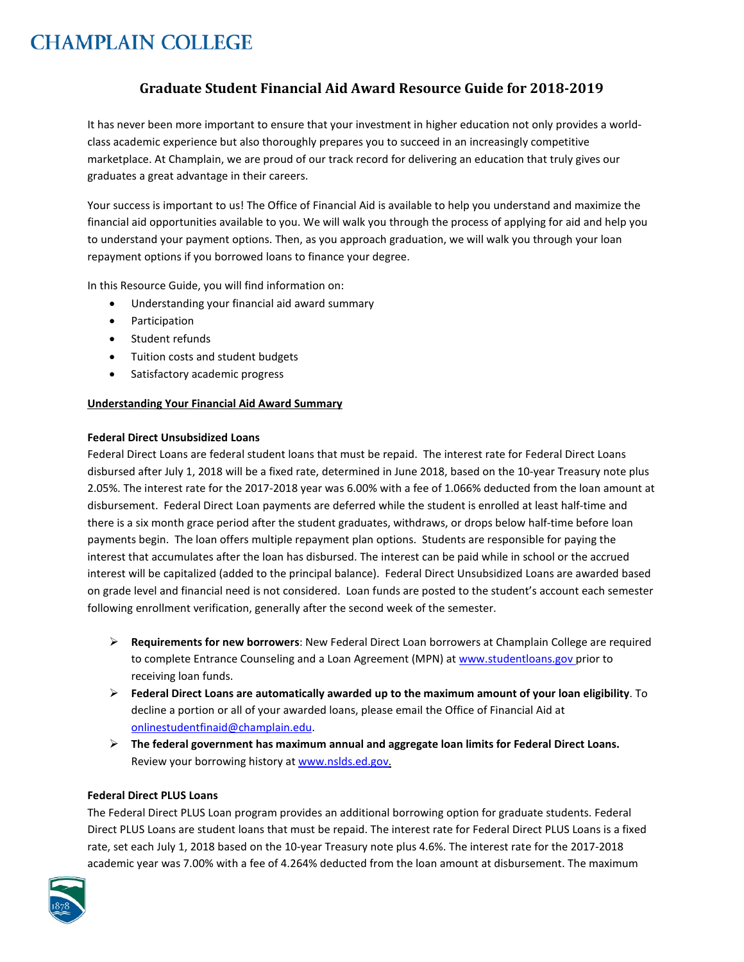# **Graduate Student Financial Aid Award Resource Guide for 2018-2019**

It has never been more important to ensure that your investment in higher education not only provides a worldclass academic experience but also thoroughly prepares you to succeed in an increasingly competitive marketplace. At Champlain, we are proud of our track record for delivering an education that truly gives our graduates a great advantage in their careers.

Your success is important to us! The Office of Financial Aid is available to help you understand and maximize the financial aid opportunities available to you. We will walk you through the process of applying for aid and help you to understand your payment options. Then, as you approach graduation, we will walk you through your loan repayment options if you borrowed loans to finance your degree.

In this Resource Guide, you will find information on:

- Understanding your financial aid award summary
- Participation
- Student refunds
- Tuition costs and student budgets
- Satisfactory academic progress

#### **Understanding Your Financial Aid Award Summary**

#### **Federal Direct Unsubsidized Loans**

Federal Direct Loans are federal student loans that must be repaid. The interest rate for Federal Direct Loans disbursed after July 1, 2018 will be a fixed rate, determined in June 2018, based on the 10-year Treasury note plus 2.05%. The interest rate for the 2017-2018 year was 6.00% with a fee of 1.066% deducted from the loan amount at disbursement. Federal Direct Loan payments are deferred while the student is enrolled at least half-time and there is a six month grace period after the student graduates, withdraws, or drops below half-time before loan payments begin. The loan offers multiple repayment plan options. Students are responsible for paying the interest that accumulates after the loan has disbursed. The interest can be paid while in school or the accrued interest will be capitalized (added to the principal balance). Federal Direct Unsubsidized Loans are awarded based on grade level and financial need is not considered. Loan funds are posted to the student's account each semester following enrollment verification, generally after the second week of the semester.

- **Requirements for new borrowers**: New Federal Direct Loan borrowers at Champlain College are required to complete Entrance Counseling and a Loan Agreement (MPN) at [www.studentloans.gov](http://www.studentloans.gov/) prior to receiving loan funds.
- **Federal Direct Loans are automatically awarded up to the maximum amount of your loan eligibility**. To decline a portion or all of your awarded loans, please email the Office of Financial Aid at [onlinestudentfinaid@champlain.edu.](mailto:onlinestudentfinaid@champlain.edu)
- **The federal government has maximum annual and aggregate loan limits for Federal Direct Loans.** Review your borrowing history a[t www.nslds.ed.gov.](http://www.nslds.ed.gov/)

### **Federal Direct PLUS Loans**

The Federal Direct PLUS Loan program provides an additional borrowing option for graduate students. Federal Direct PLUS Loans are student loans that must be repaid. The interest rate for Federal Direct PLUS Loans is a fixed rate, set each July 1, 2018 based on the 10-year Treasury note plus 4.6%. The interest rate for the 2017-2018 academic year was 7.00% with a fee of 4.264% deducted from the loan amount at disbursement. The maximum

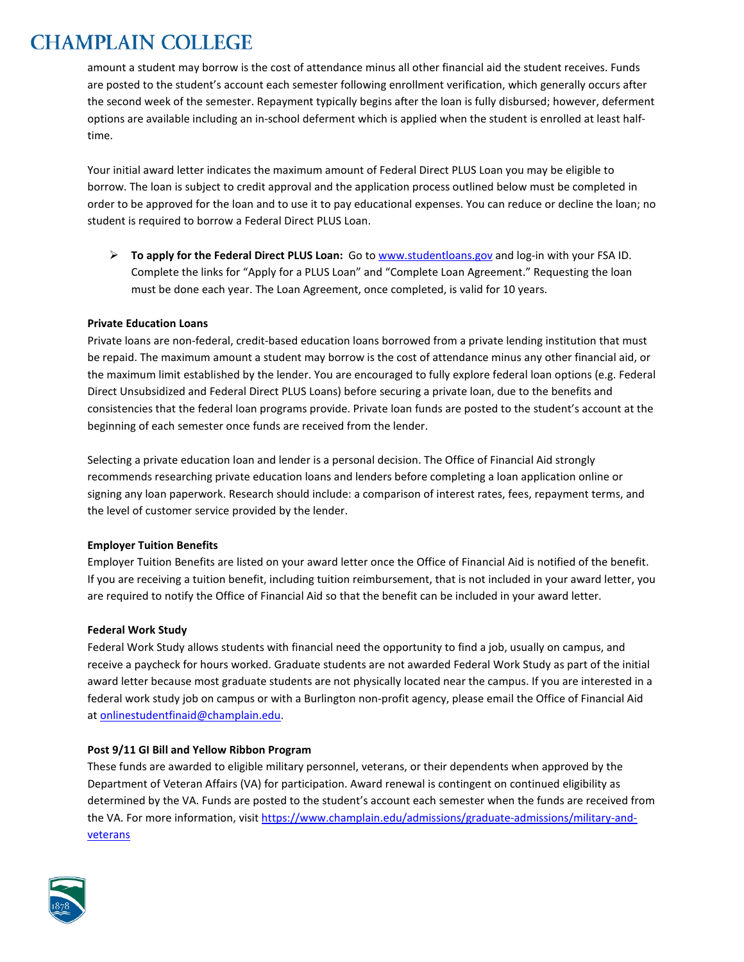amount a student may borrow is the cost of attendance minus all other financial aid the student receives. Funds are posted to the student's account each semester following enrollment verification, which generally occurs after the second week of the semester. Repayment typically begins after the loan is fully disbursed; however, deferment options are available including an in-school deferment which is applied when the student is enrolled at least halftime.

Your initial award letter indicates the maximum amount of Federal Direct PLUS Loan you may be eligible to borrow. The loan is subject to credit approval and the application process outlined below must be completed in order to be approved for the loan and to use it to pay educational expenses. You can reduce or decline the loan; no student is required to borrow a Federal Direct PLUS Loan.

 **To apply for the Federal Direct PLUS Loan:** Go t[o www.studentloans.gov](http://www.studentloans.gov/) and log-in with your FSA ID. Complete the links for "Apply for a PLUS Loan" and "Complete Loan Agreement." Requesting the loan must be done each year. The Loan Agreement, once completed, is valid for 10 years.

# **Private Education Loans**

Private loans are non-federal, credit-based education loans borrowed from a private lending institution that must be repaid. The maximum amount a student may borrow is the cost of attendance minus any other financial aid, or the maximum limit established by the lender. You are encouraged to fully explore federal loan options (e.g. Federal Direct Unsubsidized and Federal Direct PLUS Loans) before securing a private loan, due to the benefits and consistencies that the federal loan programs provide. Private loan funds are posted to the student's account at the beginning of each semester once funds are received from the lender.

Selecting a private education loan and lender is a personal decision. The Office of Financial Aid strongly recommends researching private education loans and lenders before completing a loan application online or signing any loan paperwork. Research should include: a comparison of interest rates, fees, repayment terms, and the level of customer service provided by the lender.

# **Employer Tuition Benefits**

Employer Tuition Benefits are listed on your award letter once the Office of Financial Aid is notified of the benefit. If you are receiving a tuition benefit, including tuition reimbursement, that is not included in your award letter, you are required to notify the Office of Financial Aid so that the benefit can be included in your award letter.

# **Federal Work Study**

Federal Work Study allows students with financial need the opportunity to find a job, usually on campus, and receive a paycheck for hours worked. Graduate students are not awarded Federal Work Study as part of the initial award letter because most graduate students are not physically located near the campus. If you are interested in a federal work study job on campus or with a Burlington non-profit agency, please email the Office of Financial Aid a[t onlinestudentfinaid@champlain.edu.](mailto:onlinestudentfinaid@champlain.edu)

# **Post 9/11 GI Bill and Yellow Ribbon Program**

These funds are awarded to eligible military personnel, veterans, or their dependents when approved by the Department of Veteran Affairs (VA) for participation. Award renewal is contingent on continued eligibility as determined by the VA. Funds are posted to the student's account each semester when the funds are received from the VA. For more information, visit [https://www.champlain.edu/admissions/graduate-admissions/military-and](https://www.champlain.edu/admissions/graduate-admissions/military-and-veterans)[veterans](https://www.champlain.edu/admissions/graduate-admissions/military-and-veterans)

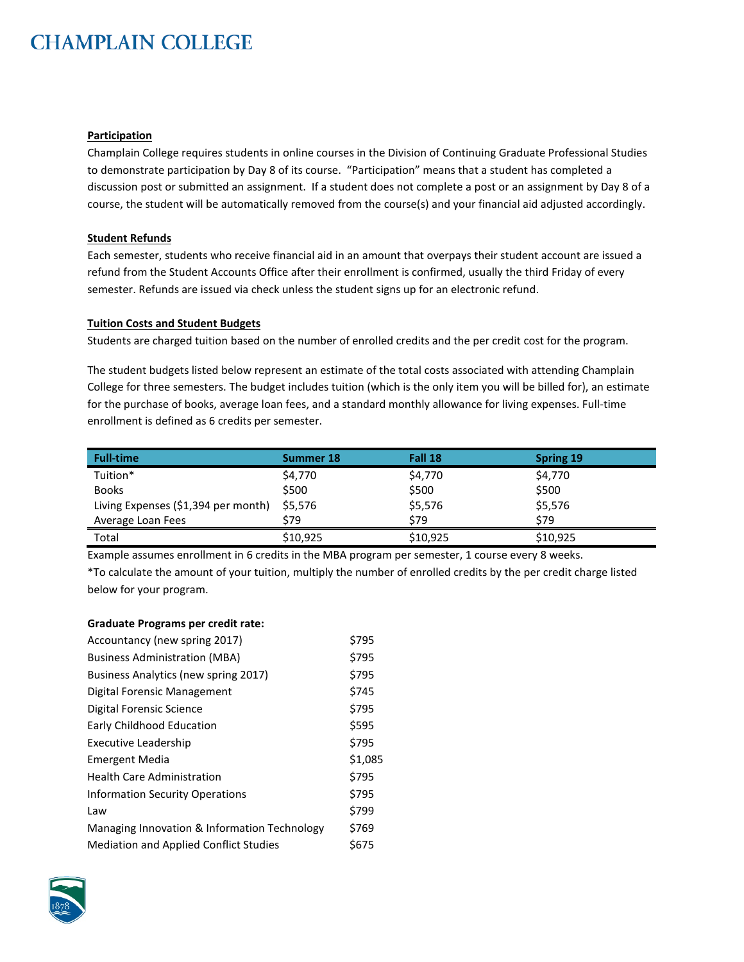#### **Participation**

Champlain College requires students in online courses in the Division of Continuing Graduate Professional Studies to demonstrate participation by Day 8 of its course. "Participation" means that a student has completed a discussion post or submitted an assignment. If a student does not complete a post or an assignment by Day 8 of a course, the student will be automatically removed from the course(s) and your financial aid adjusted accordingly.

### **Student Refunds**

Each semester, students who receive financial aid in an amount that overpays their student account are issued a refund from the Student Accounts Office after their enrollment is confirmed, usually the third Friday of every semester. Refunds are issued via check unless the student signs up for an electronic refund.

#### **Tuition Costs and Student Budgets**

Students are charged tuition based on the number of enrolled credits and the per credit cost for the program.

The student budgets listed below represent an estimate of the total costs associated with attending Champlain College for three semesters. The budget includes tuition (which is the only item you will be billed for), an estimate for the purchase of books, average loan fees, and a standard monthly allowance for living expenses. Full-time enrollment is defined as 6 credits per semester.

| <b>Full-time</b>                    | Summer 18 | Fall 18  | <b>Spring 19</b> |
|-------------------------------------|-----------|----------|------------------|
| Tuition*                            | \$4,770   | \$4,770  | \$4,770          |
| <b>Books</b>                        | \$500     | \$500    | \$500            |
| Living Expenses (\$1,394 per month) | \$5,576   | \$5,576  | \$5,576          |
| Average Loan Fees                   | \$79      | \$79     | \$79             |
| Total                               | \$10,925  | \$10.925 | \$10,925         |

Example assumes enrollment in 6 credits in the MBA program per semester, 1 course every 8 weeks.

\*To calculate the amount of your tuition, multiply the number of enrolled credits by the per credit charge listed below for your program.

#### **Graduate Programs per credit rate:**

| Accountancy (new spring 2017)                 | \$795   |
|-----------------------------------------------|---------|
| <b>Business Administration (MBA)</b>          | \$795   |
| Business Analytics (new spring 2017)          | \$795   |
| Digital Forensic Management                   | \$745   |
| Digital Forensic Science                      | \$795   |
| Early Childhood Education                     | \$595   |
| <b>Executive Leadership</b>                   | \$795   |
| <b>Emergent Media</b>                         | \$1,085 |
| <b>Health Care Administration</b>             | \$795   |
| <b>Information Security Operations</b>        | \$795   |
| Law                                           | \$799   |
| Managing Innovation & Information Technology  | \$769   |
| <b>Mediation and Applied Conflict Studies</b> | \$675   |